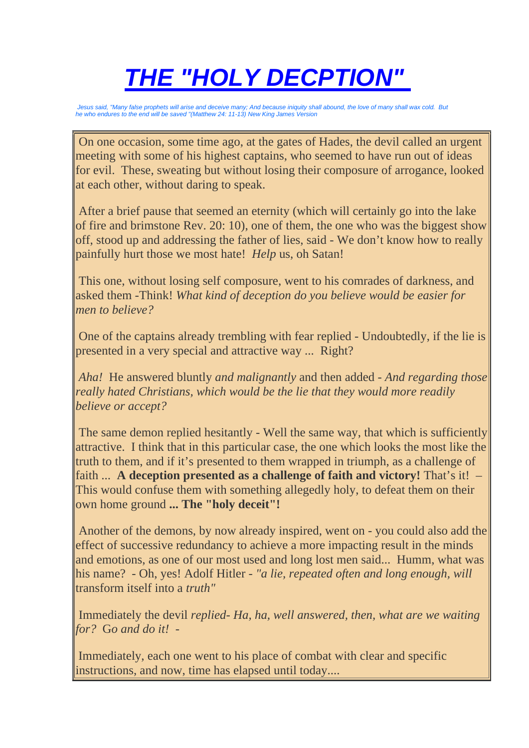# *THE "HOLY DECPTION"*

*Jesus said, "Many false prophets will arise and deceive many; And because iniquity shall abound, the love of many shall wax cold. But he who endures to the end will be saved "(Matthew 24: 11-13) New King James Version* 

 On one occasion, some time ago, at the gates of Hades, the devil called an urgent meeting with some of his highest captains, who seemed to have run out of ideas for evil. These, sweating but without losing their composure of arrogance, looked at each other, without daring to speak.

 After a brief pause that seemed an eternity (which will certainly go into the lake of fire and brimstone Rev. 20: 10), one of them, the one who was the biggest show off, stood up and addressing the father of lies, said - We don't know how to really painfully hurt those we most hate! *Help* us, oh Satan!

 This one, without losing self composure, went to his comrades of darkness, and asked them -Think! *What kind of deception do you believe would be easier for men to believe?*

 One of the captains already trembling with fear replied - Undoubtedly, if the lie is presented in a very special and attractive way ... Right?

*Aha!* He answered bluntly *and malignantly* and then added *- And regarding those really hated Christians, which would be the lie that they would more readily believe or accept?*

 The same demon replied hesitantly - Well the same way, that which is sufficiently attractive. I think that in this particular case, the one which looks the most like the truth to them, and if it's presented to them wrapped in triumph, as a challenge of faith ... **A deception presented as a challenge of faith and victory!** That's it! – This would confuse them with something allegedly holy, to defeat them on their own home ground **... The "holy deceit"!**

 Another of the demons, by now already inspired, went on - you could also add the effect of successive redundancy to achieve a more impacting result in the minds and emotions, as one of our most used and long lost men said... Humm, what was his name? - Oh, yes! Adolf Hitler - *"a lie, repeated often and long enough, will*  transform itself into a *truth"*

 Immediately the devil *replied- Ha, ha, well answered, then, what are we waiting for?* G*o and do it! -*

Immediately, each one went to his place of combat with clear and specific instructions, and now, time has elapsed until today....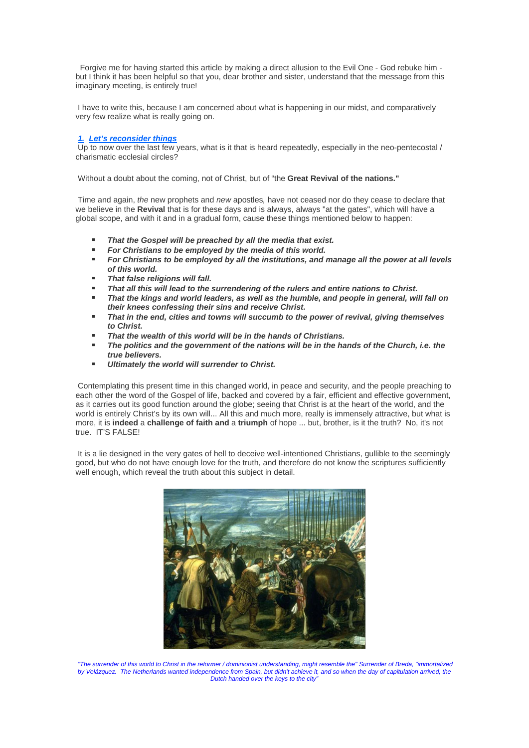Forgive me for having started this article by making a direct allusion to the Evil One - God rebuke him but I think it has been helpful so that you, dear brother and sister, understand that the message from this imaginary meeting, is entirely true!

 I have to write this, because I am concerned about what is happening in our midst, and comparatively very few realize what is really going on.

## *1. Let's reconsider things*

 $\overline{Up}$  to now over the last few years, what is it that is heard repeatedly, especially in the neo-pentecostal / charismatic ecclesial circles?

Without a doubt about the coming, not of Christ, but of "the **Great Revival of the nations."**

 Time and again, *the* new prophets and *new* apostles*,* have not ceased nor do they cease to declare that we believe in the **Revival** that is for these days and is always, always "at the gates", which will have a global scope, and with it and in a gradual form, cause these things mentioned below to happen:

- *That the Gospel will be preached by all the media that exist.*
- *For Christians to be employed by the media of this world.*
- *For Christians to be employed by all the institutions, and manage all the power at all levels of this world.*
- *That false religions will fall.*
- *That all this will lead to the surrendering of the rulers and entire nations to Christ.*
- *That the kings and world leaders, as well as the humble, and people in general, will fall on their knees confessing their sins and receive Christ.*
- *That in the end, cities and towns will succumb to the power of revival, giving themselves to Christ.*
- *That the wealth of this world will be in the hands of Christians.*
- *The politics and the government of the nations will be in the hands of the Church, i.e. the true believers.*
- *Ultimately the world will surrender to Christ.*

 Contemplating this present time in this changed world, in peace and security, and the people preaching to each other the word of the Gospel of life, backed and covered by a fair, efficient and effective government, as it carries out its good function around the globe; seeing that Christ is at the heart of the world, and the world is entirely Christ's by its own will... All this and much more, really is immensely attractive, but what is more, it is **indeed** a **challenge of faith and** a **triumph** of hope ... but, brother, is it the truth? No, it's not true. IT'S FALSE!

It is a lie designed in the very gates of hell to deceive well-intentioned Christians, gullible to the seemingly good, but who do not have enough love for the truth, and therefore do not know the scriptures sufficiently well enough, which reveal the truth about this subject in detail.



*"The surrender of this world to Christ in the reformer / dominionist understanding, might resemble the" Surrender of Breda, "immortalized by Velázquez. The Netherlands wanted independence from Spain, but didn't achieve it, and so when the day of capitulation arrived, the Dutch handed over the keys to the city"*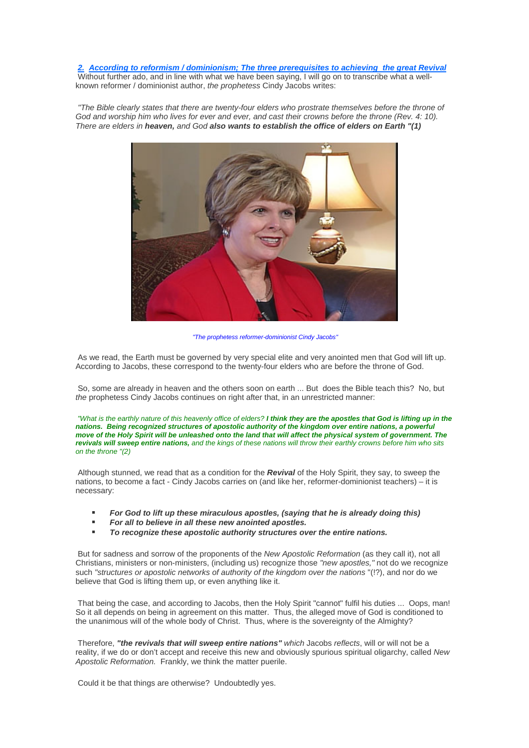*2. According to reformism / dominionism; The three prerequisites to achieving the great Revival* Without further ado, and in line with what we have been saying, I will go on to transcribe what a wellknown reformer / dominionist author, *the prophetess* Cindy Jacobs writes:

*"The Bible clearly states that there are twenty-four elders who prostrate themselves before the throne of God and worship him who lives for ever and ever, and cast their crowns before the throne (Rev. 4: 10). There are elders in heaven, and God also wants to establish the office of elders on Earth "(1)*



*"The prophetess reformer-dominionist Cindy Jacobs"*

 As we read, the Earth must be governed by very special elite and very anointed men that God will lift up. According to Jacobs, these correspond to the twenty-four elders who are before the throne of God.

 So, some are already in heaven and the others soon on earth ... But does the Bible teach this? No, but *the* prophetess Cindy Jacobs continues on right after that, in an unrestricted manner:

 *"What is the earthly nature of this heavenly office of elders? I think they are the apostles that God is lifting up in the nations. Being recognized structures of apostolic authority of the kingdom over entire nations, a powerful move of the Holy Spirit will be unleashed onto the land that will affect the physical system of government. The revivals will sweep entire nations, and the kings of these nations will throw their earthly crowns before him who sits on the throne "(2)* 

 Although stunned, we read that as a condition for the *Revival* of the Holy Spirit, they say, to sweep the nations, to become a fact - Cindy Jacobs carries on (and like her, reformer-dominionist teachers) – it is necessary:

- *For God to lift up these miraculous apostles, (saying that he is already doing this)*
- *For all to believe in all these new anointed apostles.*
- *To recognize these apostolic authority structures over the entire nations.*

 But for sadness and sorrow of the proponents of the *New Apostolic Reformation* (as they call it), not all Christians, ministers or non-ministers, (including us) recognize those *"new apostles,"* not do we recognize such *"structures or apostolic networks of authority of the kingdom over the nations* "(!?), and nor do we believe that God is lifting them up, or even anything like it.

 That being the case, and according to Jacobs, then the Holy Spirit "cannot" fulfil his duties ... Oops, man! So it all depends on being in agreement on this matter. Thus, the alleged move of God is conditioned to the unanimous will of the whole body of Christ. Thus, where is the sovereignty of the Almighty?

 Therefore, *"the revivals that will sweep entire nations" which* Jacobs *reflects*, will or will not be a reality, if we do or don't accept and receive this new and obviously spurious spiritual oligarchy, called *New Apostolic Reformation.* Frankly, we think the matter puerile.

Could it be that things are otherwise? Undoubtedly yes.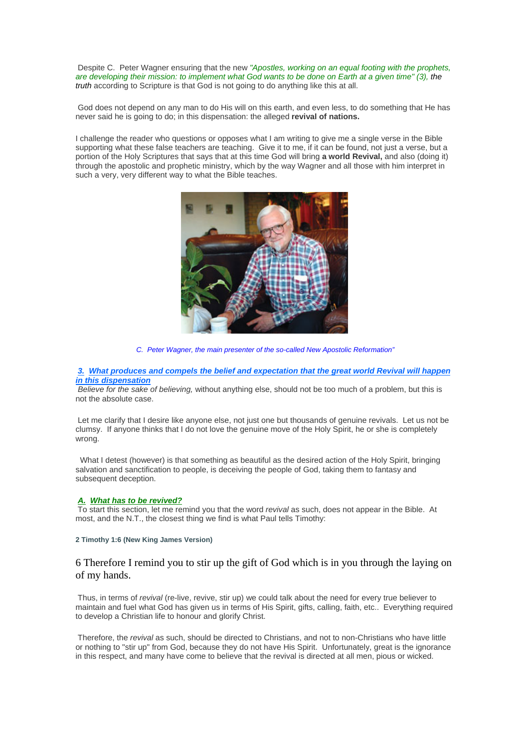Despite C. Peter Wagner ensuring that the new *"Apostles, working on an equal footing with the prophets, are developing their mission: to implement what God wants to be done on Earth at a given time" (3), the truth* according to Scripture is that God is not going to do anything like this at all.

 God does not depend on any man to do His will on this earth, and even less, to do something that He has never said he is going to do; in this dispensation: the alleged **revival of nations.**

I challenge the reader who questions or opposes what I am writing to give me a single verse in the Bible supporting what these false teachers are teaching. Give it to me, if it can be found, not just a verse, but a portion of the Holy Scriptures that says that at this time God will bring **a world Revival,** and also (doing it) through the apostolic and prophetic ministry, which by the way Wagner and all those with him interpret in such a very, very different way to what the Bible teaches.



*C. Peter Wagner, the main presenter of the so-called New Apostolic Reformation"*

## *3. What produces and compels the belief and expectation that the great world Revival will happen in this dispensation*

*Believe for the sake of believing,* without anything else, should not be too much of a problem, but this is not the absolute case.

 Let me clarify that I desire like anyone else, not just one but thousands of genuine revivals. Let us not be clumsy. If anyone thinks that I do not love the genuine move of the Holy Spirit, he or she is completely wrong.

What I detest (however) is that something as beautiful as the desired action of the Holy Spirit, bringing salvation and sanctification to people, is deceiving the people of God, taking them to fantasy and subsequent deception.

# *A. What has to be revived?*

 To start this section, let me remind you that the word *revival* as such, does not appear in the Bible. At most, and the N.T., the closest thing we find is what Paul tells Timothy:

# **2 Timothy 1:6 (New King James Version)**

# 6 Therefore I remind you to stir up the gift of God which is in you through the laying on of my hands.

 Thus, in terms of *revival* (re-live, revive, stir up) we could talk about the need for every true believer to maintain and fuel what God has given us in terms of His Spirit, gifts, calling, faith, etc.. Everything required to develop a Christian life to honour and glorify Christ.

 Therefore, the *revival* as such, should be directed to Christians, and not to non-Christians who have little or nothing to "stir up" from God, because they do not have His Spirit. Unfortunately, great is the ignorance in this respect, and many have come to believe that the revival is directed at all men, pious or wicked.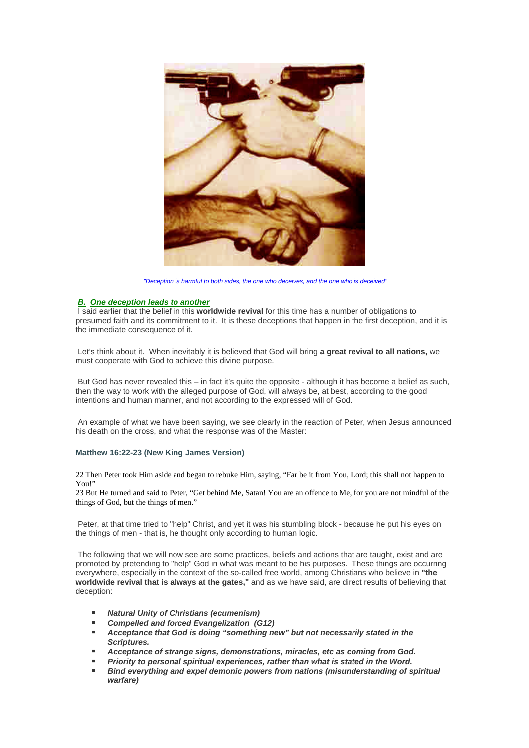

*"Deception is harmful to both sides, the one who deceives, and the one who is deceived"*

#### *B. One deception leads to another*

 I said earlier that the belief in this **worldwide revival** for this time has a number of obligations to presumed faith and its commitment to it. It is these deceptions that happen in the first deception, and it is the immediate consequence of it.

 Let's think about it. When inevitably it is believed that God will bring **a great revival to all nations,** we must cooperate with God to achieve this divine purpose.

 But God has never revealed this – in fact it's quite the opposite - although it has become a belief as such, then the way to work with the alleged purpose of God, will always be, at best, according to the good intentions and human manner, and not according to the expressed will of God.

 An example of what we have been saying, we see clearly in the reaction of Peter, when Jesus announced his death on the cross, and what the response was of the Master:

# **Matthew 16:22-23 (New King James Version)**

22 Then Peter took Him aside and began to rebuke Him, saying, "Far be it from You, Lord; this shall not happen to You!"

23 But He turned and said to Peter, "Get behind Me, Satan! You are an offence to Me, for you are not mindful of the things of God, but the things of men."

 Peter, at that time tried to "help" Christ, and yet it was his stumbling block - because he put his eyes on the things of men - that is, he thought only according to human logic.

 The following that we will now see are some practices, beliefs and actions that are taught, exist and are promoted by pretending to "help" God in what was meant to be his purposes. These things are occurring everywhere, especially in the context of the so-called free world, among Christians who believe in **"the worldwide revival that is always at the gates,"** and as we have said, are direct results of believing that deception:

- *Natural Unity of Christians (ecumenism)*
- *Compelled and forced Evangelization (G12)*
- *Acceptance that God is doing "something new" but not necessarily stated in the Scriptures.*
- *Acceptance of strange signs, demonstrations, miracles, etc as coming from God.*
- *Priority to personal spiritual experiences, rather than what is stated in the Word.*
- *Bind everything and expel demonic powers from nations (misunderstanding of spiritual warfare)*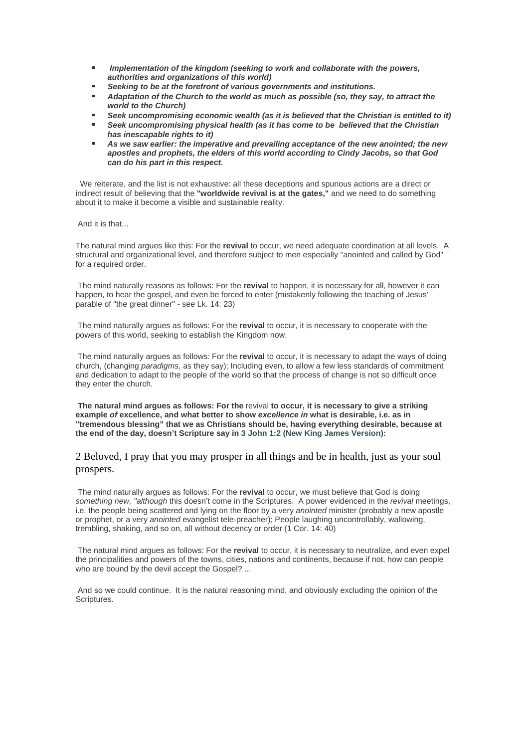- *Implementation of the kingdom (seeking to work and collaborate with the powers, authorities and organizations of this world)*
- *Seeking to be at the forefront of various governments and institutions.*
- *Adaptation of the Church to the world as much as possible (so, they say, to attract the world to the Church)*
- *Seek uncompromising economic wealth (as it is believed that the Christian is entitled to it)*
- *Seek uncompromising physical health (as it has come to be believed that the Christian has inescapable rights to it)*
- *As we saw earlier: the imperative and prevailing acceptance of the new anointed; the new apostles and prophets, the elders of this world according to Cindy Jacobs, so that God can do his part in this respect.*

We reiterate, and the list is not exhaustive: all these deceptions and spurious actions are a direct or indirect result of believing that the **"worldwide revival is at the gates,"** and we need to do something about it to make it become a visible and sustainable reality.

And it is that...

The natural mind argues like this: For the **revival** to occur, we need adequate coordination at all levels. A structural and organizational level, and therefore subject to men especially "anointed and called by God" for a required order.

 The mind naturally reasons as follows: For the **revival** to happen, it is necessary for all, however it can happen, to hear the gospel, and even be forced to enter (mistakenly following the teaching of Jesus' parable of "the great dinner" - see Lk. 14: 23)

 The mind naturally argues as follows: For the **revival** to occur, it is necessary to cooperate with the powers of this world, seeking to establish the Kingdom now.

 The mind naturally argues as follows: For the **revival** to occur, it is necessary to adapt the ways of doing church, (changing *paradigms,* as they say); Including even, to allow a few less standards of commitment and dedication to adapt to the people of the world so that the process of change is not so difficult once they enter the church.

**The natural mind argues as follows: For the** revival **to occur, it is necessary to give a striking example** *of* **excellence, and what better to show** *excellence in* **what is desirable, i.e. as in "tremendous blessing" that we as Christians should be, having everything desirable, because at the end of the day, doesn't Scripture say in 3 John 1:2 (New King James Version):**

# 2 Beloved, I pray that you may prosper in all things and be in health, just as your soul prospers.

 The mind naturally argues as follows: For the **revival** to occur, we must believe that God is doing *something new, "although* this doesn't come in the Scriptures. A power evidenced in the *revival* meetings, i.e. the people being scattered and lying on the floor by a very *anointed* minister (probably *a* new apostle or prophet, or a very *anointed* evangelist tele-preacher); People laughing uncontrollably, wallowing, trembling, shaking, and so on, all without decency or order (1 Cor. 14: 40)

 The natural mind argues as follows: For the **revival** to occur, it is necessary to neutralize, and even expel the principalities and powers of the towns, cities, nations and continents, because if not, how can people who are bound by the devil accept the Gospel? ...

 And so we could continue. It is the natural reasoning mind, and obviously excluding the opinion of the Scriptures.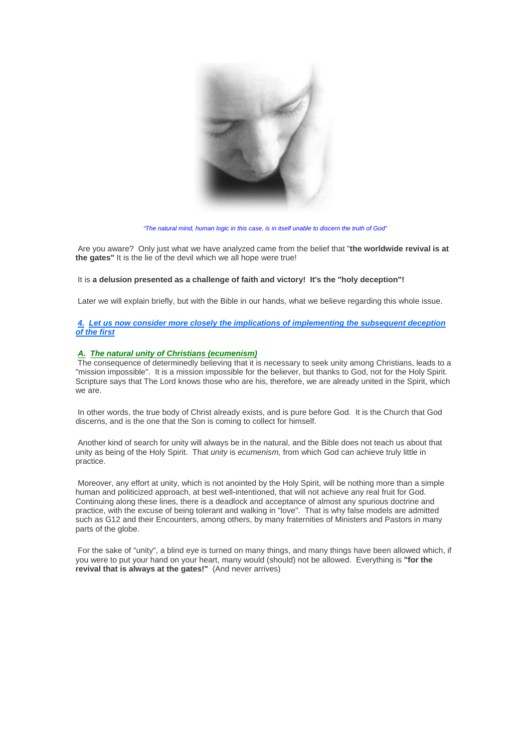

*"The natural mind, human logic in this case, is in itself unable to discern the truth of God"*

 Are you aware? Only just what we have analyzed came from the belief that "**the worldwide revival is at the gates"** It is the lie of the devil which we all hope were true!

# It is **a delusion presented as a challenge of faith and victory! It's the "holy deception"!**

Later we will explain briefly, but with the Bible in our hands, what we believe regarding this whole issue.

# *4. Let us now consider more closely the implications of implementing the subsequent deception of the first*

## *A. The natural unity of Christians (ecumenism)*

 The consequence of determinedly believing that it is necessary to seek unity among Christians, leads to a "mission impossible". It is a mission impossible for the believer, but thanks to God, not for the Holy Spirit. Scripture says that The Lord knows those who are his, therefore, we are already united in the Spirit, which we are.

 In other words, the true body of Christ already exists, and is pure before God. It is the Church that God discerns, and is the one that the Son is coming to collect for himself.

 Another kind of search for unity will always be in the natural, and the Bible does not teach us about that unity as being of the Holy Spirit. That *unity* is *ecumenism,* from which God can achieve truly little in practice.

 Moreover, any effort at unity, which is not anointed by the Holy Spirit, will be nothing more than a simple human and politicized approach, at best well-intentioned, that will not achieve any real fruit for God. Continuing along these lines, there is a deadlock and acceptance of almost any spurious doctrine and practice, with the excuse of being tolerant and walking in "love". That is why false models are admitted such as G12 and their Encounters, among others, by many fraternities of Ministers and Pastors in many parts of the globe.

 For the sake of "unity", a blind eye is turned on many things, and many things have been allowed which, if you were to put your hand on your heart, many would (should) not be allowed. Everything is **"for the revival that is always at the gates!"** (And never arrives)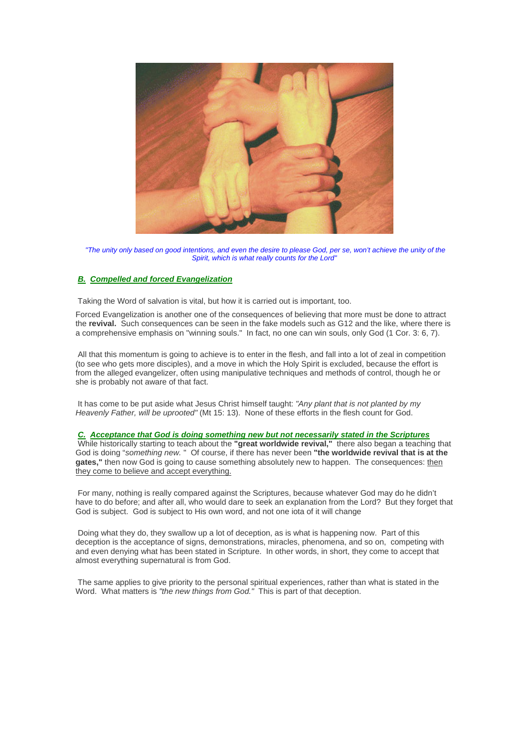

*"The unity only based on good intentions, and even the desire to please God, per se, won't achieve the unity of the Spirit, which is what really counts for the Lord"*

# *B. Compelled and forced Evangelization*

Taking the Word of salvation is vital, but how it is carried out is important, too.

Forced Evangelization is another one of the consequences of believing that more must be done to attract the **revival.** Such consequences can be seen in the fake models such as G12 and the like, where there is a comprehensive emphasis on "winning souls." In fact, no one can win souls, only God (1 Cor. 3: 6, 7).

 All that this momentum is going to achieve is to enter in the flesh, and fall into a lot of zeal in competition (to see who gets more disciples), and a move in which the Holy Spirit is excluded, because the effort is from the alleged evangelizer, often using manipulative techniques and methods of control, though he or she is probably not aware of that fact.

 It has come to be put aside what Jesus Christ himself taught: *"Any plant that is not planted by my Heavenly Father, will be uprooted"* (Mt 15: 13). None of these efforts in the flesh count for God.

#### *C. Acceptance that God is doing something new but not necessarily stated in the Scriptures*

 While historically starting to teach about the **"great worldwide revival,"** there also began a teaching that God is doing "*something new.* " Of course, if there has never been **"the worldwide revival that is at the**  gates," then now God is going to cause something absolutely new to happen. The consequences: then they come to believe and accept everything.

 For many, nothing is really compared against the Scriptures, because whatever God may do he didn't have to do before; and after all, who would dare to seek an explanation from the Lord? But they forget that God is subject. God is subject to His own word, and not one iota of it will change

 Doing what they do, they swallow up a lot of deception, as is what is happening now. Part of this deception is the acceptance of signs, demonstrations, miracles, phenomena, and so on, competing with and even denying what has been stated in Scripture. In other words, in short, they come to accept that almost everything supernatural is from God.

The same applies to give priority to the personal spiritual experiences, rather than what is stated in the Word. What matters is *"the new things from God."* This is part of that deception.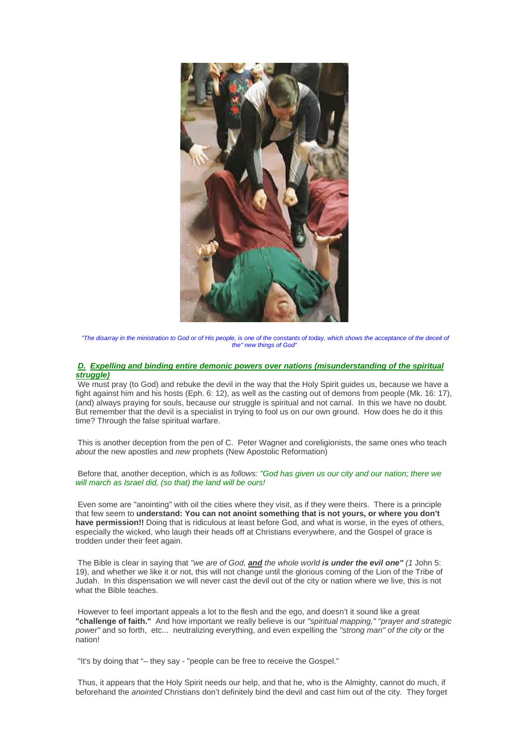

*"The disarray in the ministration to God or of His people, is one of the constants of today, which shows the acceptance of the deceit of the" new things of God"*

## *D. Expelling and binding entire demonic powers over nations (misunderstanding of the spiritual struggle)*

 We must pray (to God) and rebuke the devil in the way that the Holy Spirit guides us, because we have a fight against him and his hosts (Eph. 6: 12), as well as the casting out of demons from people (Mk. 16: 17), (and) always praying for souls, because our struggle is spiritual and not carnal. In this we have no doubt. But remember that the devil is a specialist in trying to fool us on our own ground. How does he do it this time? Through the false spiritual warfare.

 This is another deception from the pen of C. Peter Wagner and coreligionists, the same ones who teach *about* the new apostles and *new* prophets (New Apostolic Reformation)

 Before that, another deception, which is as *follows: "God has given us our city and our nation; there we will march as Israel did, (so that) the land will be ours!*

 Even some are "anointing" with oil the cities where they visit, as if they were theirs. There is a principle that few seem to **understand: You can not anoint something that is not yours, or where you don't have permission!!** Doing that is ridiculous at least before God, and what is worse, in the eyes of others, especially the wicked, who laugh their heads off at Christians everywhere, and the Gospel of grace is trodden under their feet again.

 The Bible is clear in saying that *"we are of God, and the whole world is under the evil one" (1* John 5: 19), and whether we like it or not, this will not change until the glorious coming of the Lion of the Tribe of Judah. In this dispensation we will never cast the devil out of the city or nation where we live, this is not what the Bible teaches.

 However to feel important appeals a lot to the flesh and the ego, and doesn't it sound like a great **"challenge of faith."** And how important we really believe is our *"spiritual mapping," "prayer and strategic power"* and so forth, etc... neutralizing everything, and even expelling the *"strong man" of the city* or the .<br>nation!

"It's by doing that "– they say - "people can be free to receive the Gospel."

 Thus, it appears that the Holy Spirit needs our help, and that he, who is the Almighty, cannot do much, if beforehand the *anointed* Christians don't definitely bind the devil and cast him out of the city. They forget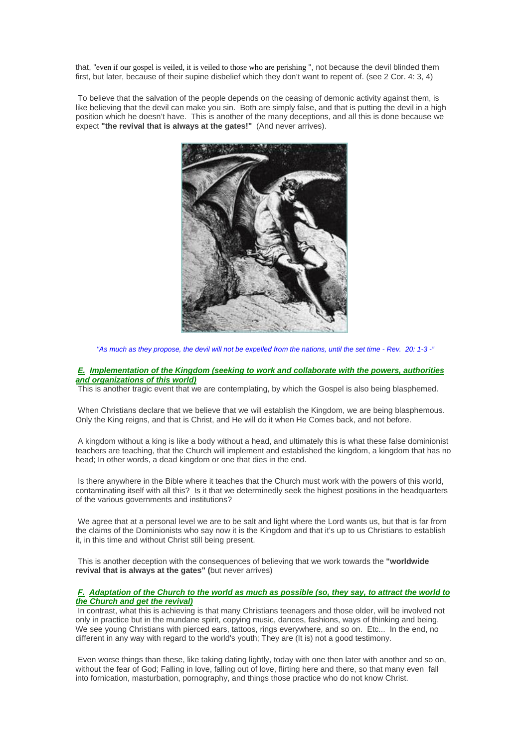that, "even if our gospel is veiled, it is veiled to those who are perishing ", not because the devil blinded them first, but later, because of their supine disbelief which they don't want to repent of. (see 2 Cor. 4: 3, 4)

 To believe that the salvation of the people depends on the ceasing of demonic activity against them, is like believing that the devil can make you sin. Both are simply false, and that is putting the devil in a high position which he doesn't have. This is another of the many deceptions, and all this is done because we expect **"the revival that is always at the gates!"** (And never arrives).



*"As much as they propose, the devil will not be expelled from the nations, until the set time - Rev. 20: 1-3 -"*

## *E. Implementation of the Kingdom (seeking to work and collaborate with the powers, authorities and organizations of this world)*

This is another tragic event that we are contemplating, by which the Gospel is also being blasphemed.

 When Christians declare that we believe that we will establish the Kingdom, we are being blasphemous. Only the King reigns, and that is Christ, and He will do it when He Comes back, and not before.

 A kingdom without a king is like a body without a head, and ultimately this is what these false dominionist teachers are teaching, that the Church will implement and established the kingdom, a kingdom that has no head; In other words, a dead kingdom or one that dies in the end.

 Is there anywhere in the Bible where it teaches that the Church must work with the powers of this world, contaminating itself with all this? Is it that we determinedly seek the highest positions in the headquarters of the various governments and institutions?

We agree that at a personal level we are to be salt and light where the Lord wants us, but that is far from the claims of the Dominionists who say now it is the Kingdom and that it's up to us Christians to establish it, in this time and without Christ still being present.

 This is another deception with the consequences of believing that we work towards the **"worldwide revival that is always at the gates" (**but never arrives)

# *F. Adaptation of the Church to the world as much as possible (so, they say, to attract the world to the Church and get the revival)*

 In contrast, what this is achieving is that many Christians teenagers and those older, will be involved not only in practice but in the mundane spirit, copying music, dances, fashions, ways of thinking and being. We see young Christians with pierced ears, tattoos, rings everywhere, and so on. Etc... In the end, no different in any way with regard to the world's youth; They are (It is) not a good testimony.

 Even worse things than these, like taking dating lightly, today with one then later with another and so on, without the fear of God; Falling in love, falling out of love, flirting here and there, so that many even fall into fornication, masturbation, pornography, and things those practice who do not know Christ.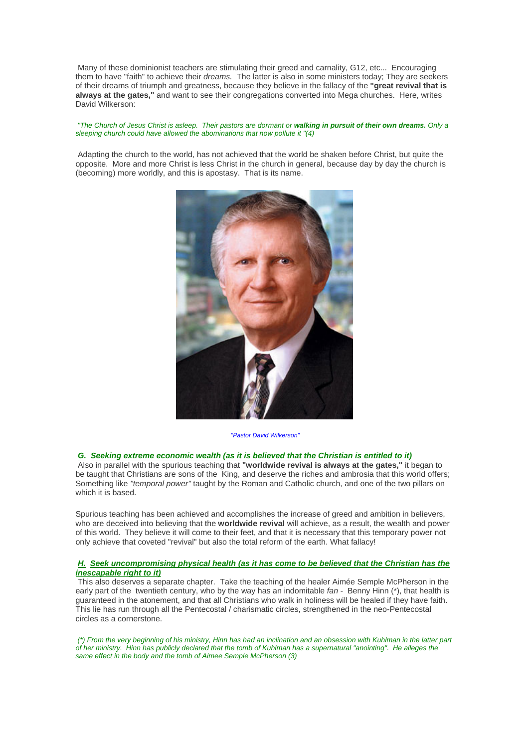Many of these dominionist teachers are stimulating their greed and carnality, G12, etc... Encouraging them to have "faith" to achieve their *dreams.* The latter is also in some ministers today; They are seekers of their dreams of triumph and greatness, because they believe in the fallacy of the **"great revival that is always at the gates,"** and want to see their congregations converted into Mega churches. Here, writes David Wilkerson:

#### *"The Church of Jesus Christ is asleep. Their pastors are dormant or walking in pursuit of their own dreams. Only a sleeping church could have allowed the abominations that now pollute it "(4)*

 Adapting the church to the world, has not achieved that the world be shaken before Christ, but quite the opposite. More and more Christ is less Christ in the church in general, because day by day the church is (becoming) more worldly, and this is apostasy. That is its name.



*"Pastor David Wilkerson"*

#### *G. Seeking extreme economic wealth (as it is believed that the Christian is entitled to it)*

 Also in parallel with the spurious teaching that **"worldwide revival is always at the gates,"** it began to be taught that Christians are sons of the King, and deserve the riches and ambrosia that this world offers; Something like *"temporal power"* taught by the Roman and Catholic church, and one of the two pillars on which it is based.

Spurious teaching has been achieved and accomplishes the increase of greed and ambition in believers, who are deceived into believing that the **worldwide revival** will achieve, as a result, the wealth and power of this world. They believe it will come to their feet, and that it is necessary that this temporary power not only achieve that coveted "revival" but also the total reform of the earth. What fallacy!

## *H. Seek uncompromising physical health (as it has come to be believed that the Christian has the inescapable right to it)*

 This also deserves a separate chapter. Take the teaching of the healer Aimée Semple McPherson in the early part of the twentieth century, who by the way has an indomitable *fan -* Benny Hinn (\*), that health is guaranteed in the atonement, and that all Christians who walk in holiness will be healed if they have faith. This lie has run through all the Pentecostal / charismatic circles, strengthened in the neo-Pentecostal circles as a cornerstone.

 *(\*) From the very beginning of his ministry, Hinn has had an inclination and an obsession with Kuhlman in the latter part of her ministry. Hinn has publicly declared that the tomb of Kuhlman has a supernatural "anointing". He alleges the same effect in the body and the tomb of Aimee Semple McPherson (3)*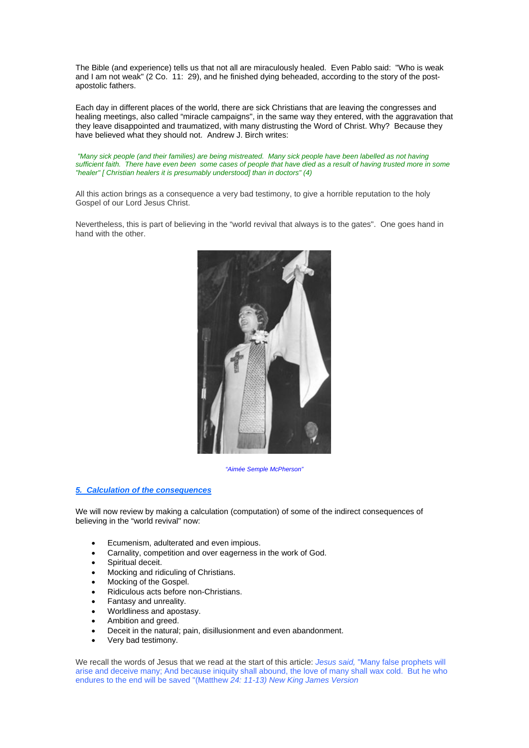The Bible (and experience) tells us that not all are miraculously healed. Even Pablo said: "Who is weak and I am not weak" (2 Co. 11: 29), and he finished dying beheaded, according to the story of the postapostolic fathers.

Each day in different places of the world, there are sick Christians that are leaving the congresses and healing meetings, also called "miracle campaigns", in the same way they entered, with the aggravation that they leave disappointed and traumatized, with many distrusting the Word of Christ. Why? Because they have believed what they should not. Andrew J. Birch writes:

 *"Many sick people (and their families) are being mistreated. Many sick people have been labelled as not having sufficient faith. There have even been some cases of people that have died as a result of having trusted more in some "healer" [ Christian healers it is presumably understood] than in doctors" (4)* 

All this action brings as a consequence a very bad testimony, to give a horrible reputation to the holy Gospel of our Lord Jesus Christ.

Nevertheless, this is part of believing in the "world revival that always is to the gates". One goes hand in hand with the other.



*"Aimée Semple McPherson"*

# *5. Calculation of the consequences*

We will now review by making a calculation (computation) of some of the indirect consequences of believing in the "world revival" now:

- Ecumenism, adulterated and even impious.
- Carnality, competition and over eagerness in the work of God.
- Spiritual deceit.
- Mocking and ridiculing of Christians.
- Mocking of the Gospel.
- Ridiculous acts before non-Christians.
- Fantasy and unreality.
- Worldliness and apostasy.
- Ambition and greed.
- Deceit in the natural; pain, disillusionment and even abandonment.
- Very bad testimony.

We recall the words of Jesus that we read at the start of this article: *Jesus said,* "Many false prophets will arise and deceive many; And because iniquity shall abound, the love of many shall wax cold.But he who endures to the end will be saved "(Matthew *24: 11-13) New King James Version*